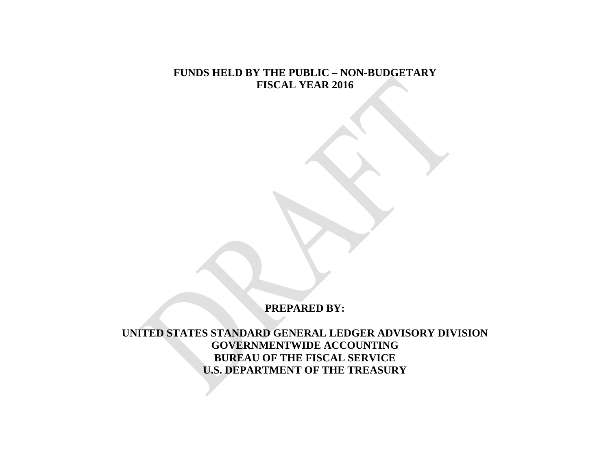## **FUNDS HELD BY THE PUBLIC – NON-BUDGETARY FISCAL YEAR 2016**

## **PREPARED BY:**

**UNITED STATES STANDARD GENERAL LEDGER ADVISORY DIVISION GOVERNMENTWIDE ACCOUNTING BUREAU OF THE FISCAL SERVICE U.S. DEPARTMENT OF THE TREASURY**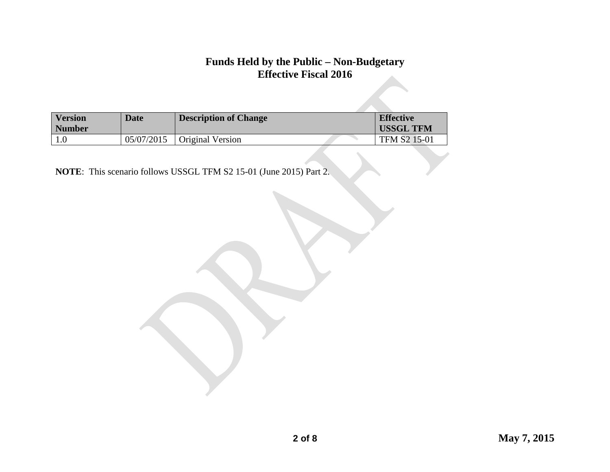| <b>Version</b><br><b>Number</b> | <b>Date</b> | <b>Description of Change</b> | <b>Effective</b><br><b>USSGL TFM</b> |
|---------------------------------|-------------|------------------------------|--------------------------------------|
|                                 | 05/07/2015  | Original Version             | TFM S2 15-01                         |

**NOTE**: This scenario follows USSGL TFM S2 15-01 (June 2015) Part 2.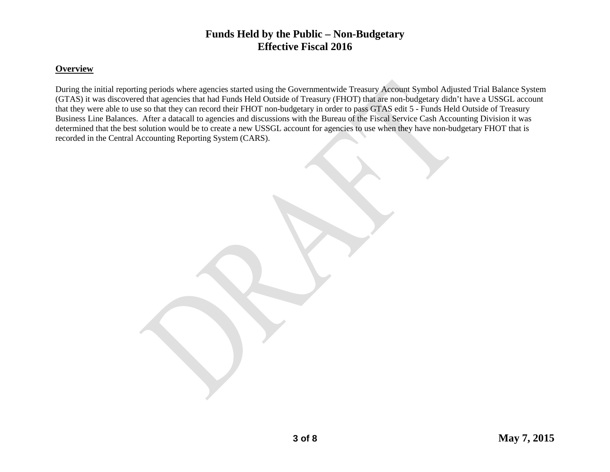#### **Overview**

During the initial reporting periods where agencies started using the Governmentwide Treasury Account Symbol Adjusted Trial Balance System (GTAS) it was discovered that agencies that had Funds Held Outside of Treasury (FHOT) that are non-budgetary didn't have a USSGL account that they were able to use so that they can record their FHOT non-budgetary in order to pass GTAS edit 5 - Funds Held Outside of Treasury Business Line Balances. After a datacall to agencies and discussions with the Bureau of the Fiscal Service Cash Accounting Division it was determined that the best solution would be to create a new USSGL account for agencies to use when they have non-budgetary FHOT that is recorded in the Central Accounting Reporting System (CARS).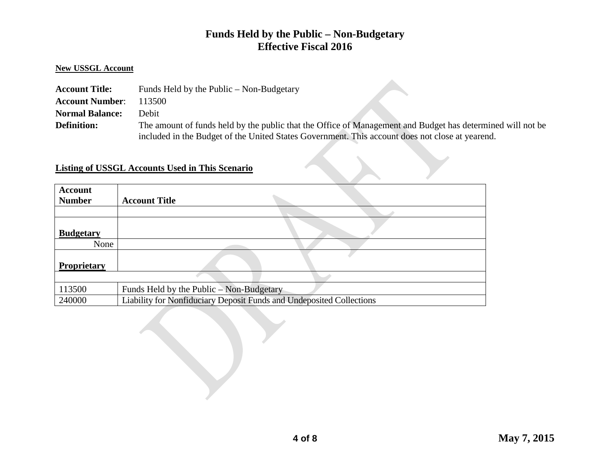#### **New USSGL Account**

| <b>Account Title:</b>  | Funds Held by the Public – Non-Budgetary                                                                   |
|------------------------|------------------------------------------------------------------------------------------------------------|
| <b>Account Number:</b> | 113500                                                                                                     |
| <b>Normal Balance:</b> | Debit                                                                                                      |
| <b>Definition:</b>     | The amount of funds held by the public that the Office of Management and Budget has determined will not be |
|                        | included in the Budget of the United States Government. This account does not close at yearend.            |

#### **Listing of USSGL Accounts Used in This Scenario**

| <b>Account</b><br><b>Number</b> | <b>Account Title</b>                                                 |
|---------------------------------|----------------------------------------------------------------------|
|                                 |                                                                      |
| <b>Budgetary</b>                |                                                                      |
| None                            |                                                                      |
| <b>Proprietary</b>              |                                                                      |
|                                 |                                                                      |
| 113500                          | Funds Held by the Public – Non-Budgetary                             |
| 240000                          | Liability for Nonfiduciary Deposit Funds and Undeposited Collections |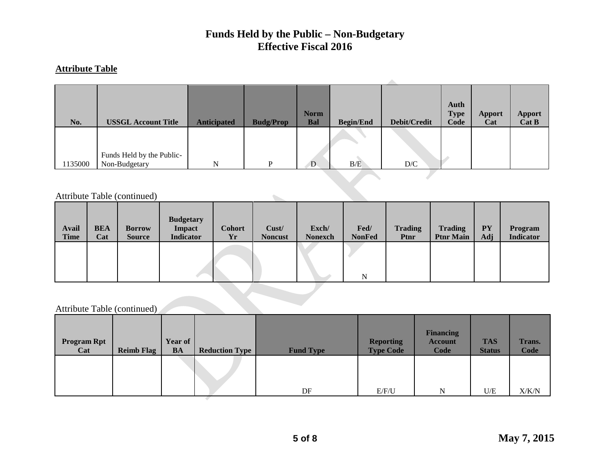#### **Attribute Table**

| No.    | <b>USSGL Account Title</b>                 | <b>Anticipated</b> | <b>Budg/Prop</b> | <b>Norm</b><br><b>Bal</b> | <b>Begin/End</b> | Debit/Credit            | Auth<br><b>Type</b><br>Code | Apport<br>Cat | <b>Apport</b><br>Cat B |
|--------|--------------------------------------------|--------------------|------------------|---------------------------|------------------|-------------------------|-----------------------------|---------------|------------------------|
| 135000 | Funds Held by the Public-<br>Non-Budgetary | N                  | D                | D.                        | B/E              | $\mathbf{D}/\mathbf{C}$ |                             |               |                        |

Attribute Table (continued)

| <b>Avail</b><br><b>Time</b> | <b>BEA</b><br>Cat | <b>Borrow</b><br><b>Source</b> | <b>Budgetary</b><br><b>Impact</b><br><b>Indicator</b> | <b>Cohort</b><br>Yr | Cust/<br><b>Noncust</b> | Exch/<br><b>Nonexch</b> | Fed/<br><b>NonFed</b> | <b>Trading</b><br>Ptnr | <b>Trading</b><br><b>Ptnr Main</b> | <b>PY</b><br>Adj | Program<br><b>Indicator</b> |
|-----------------------------|-------------------|--------------------------------|-------------------------------------------------------|---------------------|-------------------------|-------------------------|-----------------------|------------------------|------------------------------------|------------------|-----------------------------|
|                             |                   |                                |                                                       |                     |                         |                         | N                     |                        |                                    |                  |                             |

 $\mathcal{L}_{\text{max}}$ 

# Attribute Table (continued)

| <b>Program Rpt</b><br>Cat | <b>Reimb Flag</b> | Year of<br><b>BA</b> | <b>Reduction Type</b> | <b>Fund Type</b> | <b>Reporting</b><br><b>Type Code</b> | <b>Financing</b><br><b>Account</b><br>Code | <b>TAS</b><br><b>Status</b> | <b>Trans.</b><br><b>Code</b> |
|---------------------------|-------------------|----------------------|-----------------------|------------------|--------------------------------------|--------------------------------------------|-----------------------------|------------------------------|
|                           |                   |                      |                       | DF               | E/F/U                                | N                                          | U/E                         | X/K/N                        |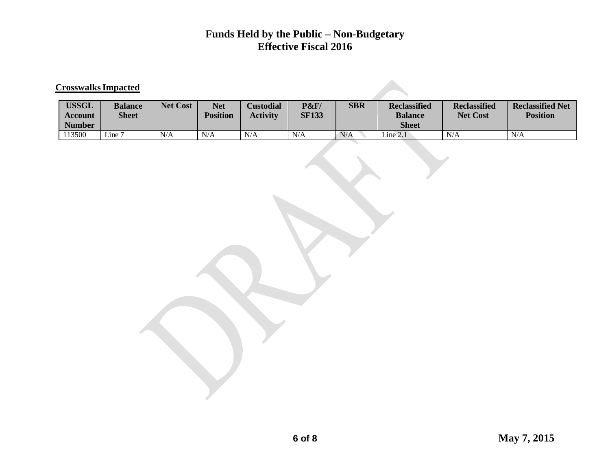#### **CrosswalksImpacted**

| <b>USSGL</b><br><b>Account</b><br><b>Number</b> | <b>Balance</b><br><b>Sheet</b> | <b>Net Cost</b> | <b>Net</b><br><b>Position</b> | <b>Custodial</b><br><b>Activity</b> | <b>P&amp;F/</b><br><b>SF133</b> | <b>SBR</b> | <b>Reclassified</b><br><b>Balance</b><br><b>Sheet</b> | <b>Reclassified</b><br><b>Net Cost</b> | <b>Reclassified Net</b><br><b>Position</b> |
|-------------------------------------------------|--------------------------------|-----------------|-------------------------------|-------------------------------------|---------------------------------|------------|-------------------------------------------------------|----------------------------------------|--------------------------------------------|
| 113500                                          | Line 7                         | N/A             | N/A                           | N/A                                 | N/A                             | N/A        | Line 2.1                                              | N/A                                    | N/A                                        |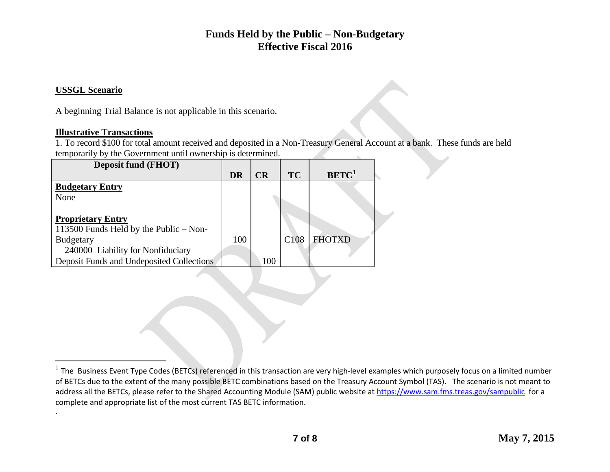#### <span id="page-6-0"></span>**USSGL Scenario**

.

 $\overline{a}$ 

A beginning Trial Balance is not applicable in this scenario.

#### **Illustrative Transactions**

1. To record \$100 for total amount received and deposited in a Non-Treasury General Account at a bank. These funds are held temporarily by the Government until ownership is determined.

| <b>Deposit fund (FHOT)</b>                |           |     |                  |                   |  |
|-------------------------------------------|-----------|-----|------------------|-------------------|--|
|                                           | <b>DR</b> | CR  | <b>TC</b>        | BETC <sup>1</sup> |  |
| <b>Budgetary Entry</b>                    |           |     |                  |                   |  |
| None                                      |           |     |                  |                   |  |
|                                           |           |     |                  |                   |  |
| <b>Proprietary Entry</b>                  |           |     |                  |                   |  |
| 113500 Funds Held by the Public – Non-    |           |     |                  |                   |  |
| <b>Budgetary</b>                          | 100       |     | C <sub>108</sub> | <b>FHOTXD</b>     |  |
| 240000 Liability for Nonfiduciary         |           |     |                  |                   |  |
| Deposit Funds and Undeposited Collections |           | 100 |                  |                   |  |

 $<sup>1</sup>$  The Business Event Type Codes (BETCs) referenced in this transaction are very high-level examples which purposely focus on a limited number</sup> of BETCs due to the extent of the many possible BETC combinations based on the Treasury Account Symbol (TAS). The scenario is not meant to address all the BETCs, please refer to the Shared Accounting Module (SAM) public website at<https://www.sam.fms.treas.gov/sampublic>for a complete and appropriate list of the most current TAS BETC information.